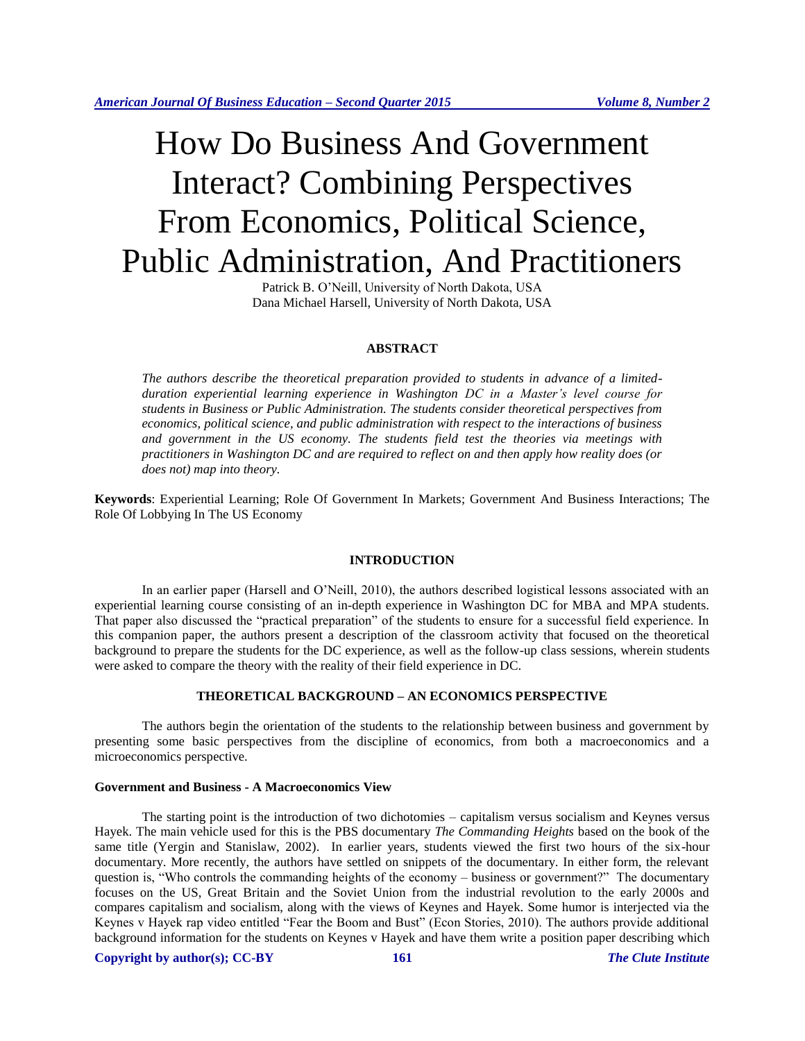# How Do Business And Government Interact? Combining Perspectives From Economics, Political Science, Public Administration, And Practitioners

Patrick B. O'Neill, University of North Dakota, USA Dana Michael Harsell, University of North Dakota, USA

## **ABSTRACT**

*The authors describe the theoretical preparation provided to students in advance of a limitedduration experiential learning experience in Washington DC in a Master's level course for students in Business or Public Administration. The students consider theoretical perspectives from economics, political science, and public administration with respect to the interactions of business and government in the US economy. The students field test the theories via meetings with practitioners in Washington DC and are required to reflect on and then apply how reality does (or does not) map into theory.*

**Keywords**: Experiential Learning; Role Of Government In Markets; Government And Business Interactions; The Role Of Lobbying In The US Economy

## **INTRODUCTION**

In an earlier paper (Harsell and O'Neill, 2010), the authors described logistical lessons associated with an experiential learning course consisting of an in-depth experience in Washington DC for MBA and MPA students. That paper also discussed the "practical preparation" of the students to ensure for a successful field experience. In this companion paper, the authors present a description of the classroom activity that focused on the theoretical background to prepare the students for the DC experience, as well as the follow-up class sessions, wherein students were asked to compare the theory with the reality of their field experience in DC.

#### **THEORETICAL BACKGROUND – AN ECONOMICS PERSPECTIVE**

The authors begin the orientation of the students to the relationship between business and government by presenting some basic perspectives from the discipline of economics, from both a macroeconomics and a microeconomics perspective.

#### **Government and Business - A Macroeconomics View**

The starting point is the introduction of two dichotomies – capitalism versus socialism and Keynes versus Hayek. The main vehicle used for this is the PBS documentary *The Commanding Heights* based on the book of the same title (Yergin and Stanislaw, 2002). In earlier years, students viewed the first two hours of the six-hour documentary. More recently, the authors have settled on snippets of the documentary. In either form, the relevant question is, "Who controls the commanding heights of the economy – business or government?" The documentary focuses on the US, Great Britain and the Soviet Union from the industrial revolution to the early 2000s and compares capitalism and socialism, along with the views of Keynes and Hayek. Some humor is interjected via the Keynes v Hayek rap video entitled "Fear the Boom and Bust" (Econ Stories, 2010). The authors provide additional background information for the students on Keynes v Hayek and have them write a position paper describing which

#### **Copyright by author(s); CC-BY 161** *The Clute Institute*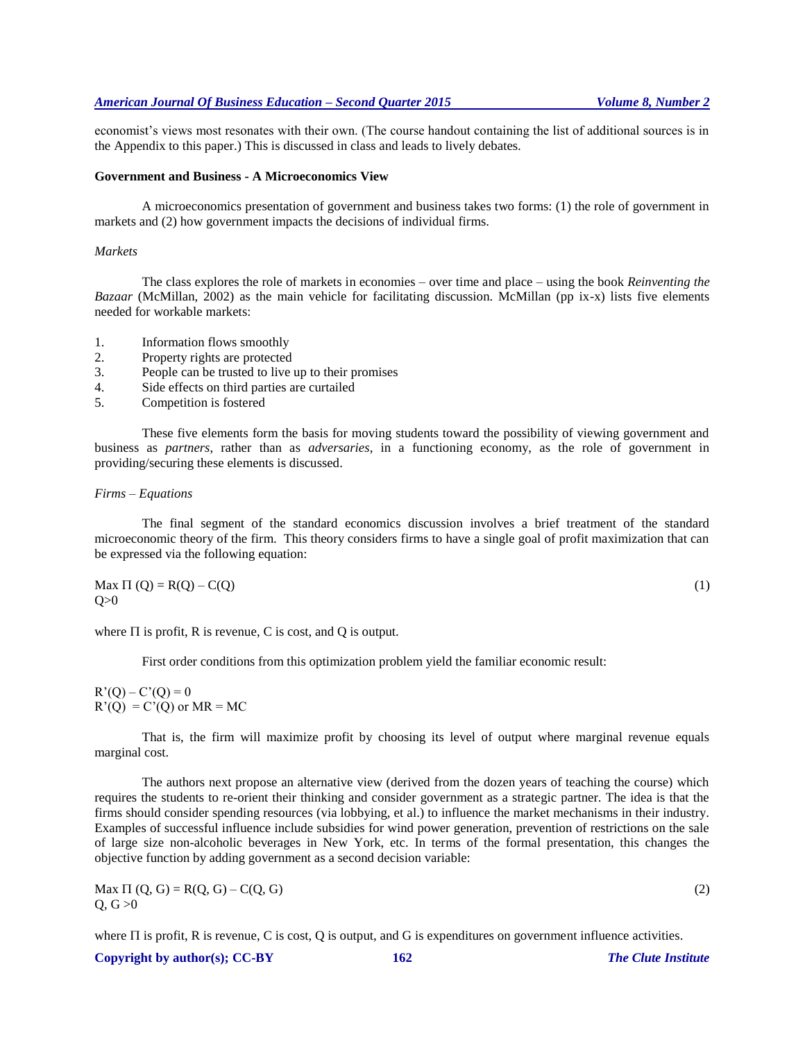## *American Journal Of Business Education – Second Quarter 2015 Volume 8, Number 2*

economist's views most resonates with their own. (The course handout containing the list of additional sources is in the Appendix to this paper.) This is discussed in class and leads to lively debates.

#### **Government and Business - A Microeconomics View**

A microeconomics presentation of government and business takes two forms: (1) the role of government in markets and (2) how government impacts the decisions of individual firms.

#### *Markets*

The class explores the role of markets in economies – over time and place – using the book *Reinventing the Bazaar* (McMillan, 2002) as the main vehicle for facilitating discussion. McMillan (pp ix-x) lists five elements needed for workable markets:

- 1. Information flows smoothly
- 2. Property rights are protected
- 3. People can be trusted to live up to their promises
- 4. Side effects on third parties are curtailed
- 5. Competition is fostered

These five elements form the basis for moving students toward the possibility of viewing government and business as *partners*, rather than as *adversaries*, in a functioning economy, as the role of government in providing/securing these elements is discussed.

#### *Firms – Equations*

The final segment of the standard economics discussion involves a brief treatment of the standard microeconomic theory of the firm. This theory considers firms to have a single goal of profit maximization that can be expressed via the following equation:

$$
\begin{aligned} \text{Max } \Pi (Q) &= R(Q) - C(Q) \\ Q &> 0 \end{aligned} \tag{1}
$$

where  $\Pi$  is profit, R is revenue, C is cost, and Q is output.

First order conditions from this optimization problem yield the familiar economic result:

 $R'(Q) - C'(Q) = 0$  $R'(Q) = C'(Q)$  or  $MR = MC$ 

That is, the firm will maximize profit by choosing its level of output where marginal revenue equals marginal cost.

The authors next propose an alternative view (derived from the dozen years of teaching the course) which requires the students to re-orient their thinking and consider government as a strategic partner. The idea is that the firms should consider spending resources (via lobbying, et al.) to influence the market mechanisms in their industry. Examples of successful influence include subsidies for wind power generation, prevention of restrictions on the sale of large size non-alcoholic beverages in New York, etc. In terms of the formal presentation, this changes the objective function by adding government as a second decision variable:

 $\text{Max } \Pi(Q, G) = R(Q, G) - C(Q, G)$  (2)  $Q, G > 0$ 

where  $\Pi$  is profit, R is revenue, C is cost, Q is output, and G is expenditures on government influence activities.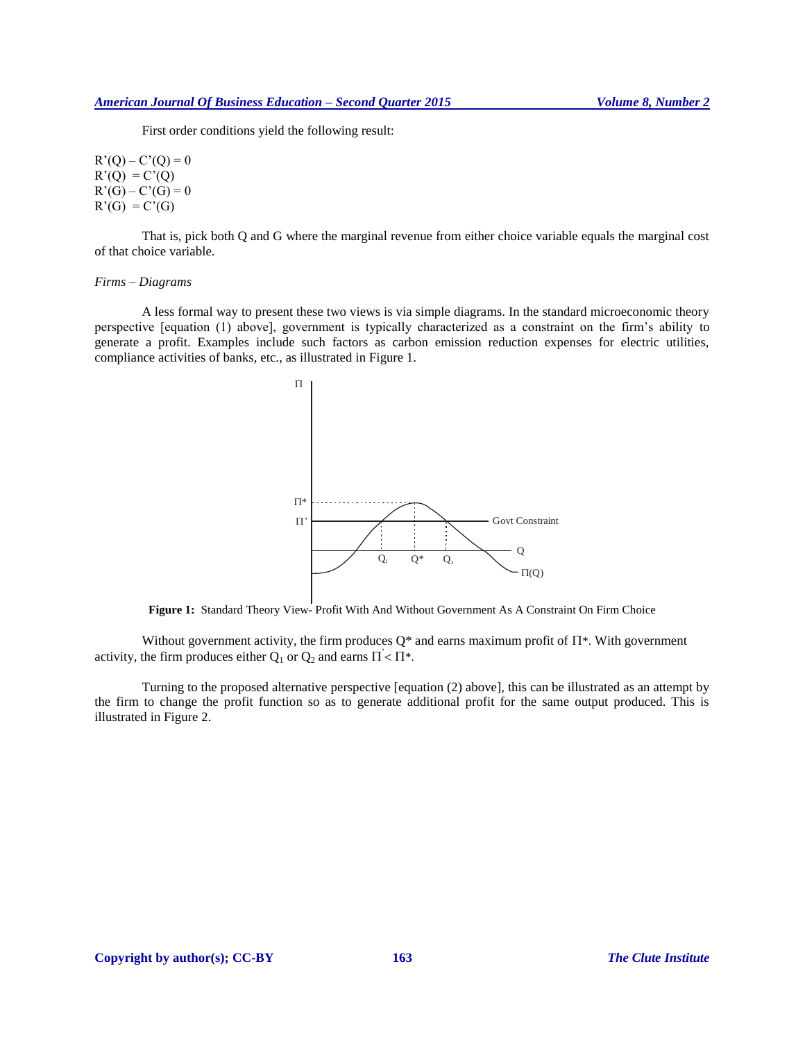First order conditions yield the following result:

$$
R'(Q) - C'(Q) = 0
$$
  
\n
$$
R'(Q) = C'(Q)
$$
  
\n
$$
R'(G) - C'(G) = 0
$$
  
\n
$$
R'(G) = C'(G)
$$

That is, pick both Q and G where the marginal revenue from either choice variable equals the marginal cost of that choice variable.

#### *Firms – Diagrams*

A less formal way to present these two views is via simple diagrams. In the standard microeconomic theory perspective [equation (1) above], government is typically characterized as a constraint on the firm's ability to generate a profit. Examples include such factors as carbon emission reduction expenses for electric utilities, compliance activities of banks, etc., as illustrated in Figure 1.



**Figure 1:** Standard Theory View- Profit With And Without Government As A Constraint On Firm Choice

Without government activity, the firm produces  $Q^*$  and earns maximum profit of  $\Pi^*$ . With government activity, the firm produces either  $Q_1$  or  $Q_2$  and earns  $\Pi$  <  $\Pi^*$ .

Turning to the proposed alternative perspective [equation (2) above], this can be illustrated as an attempt by the firm to change the profit function so as to generate additional profit for the same output produced. This is illustrated in Figure 2.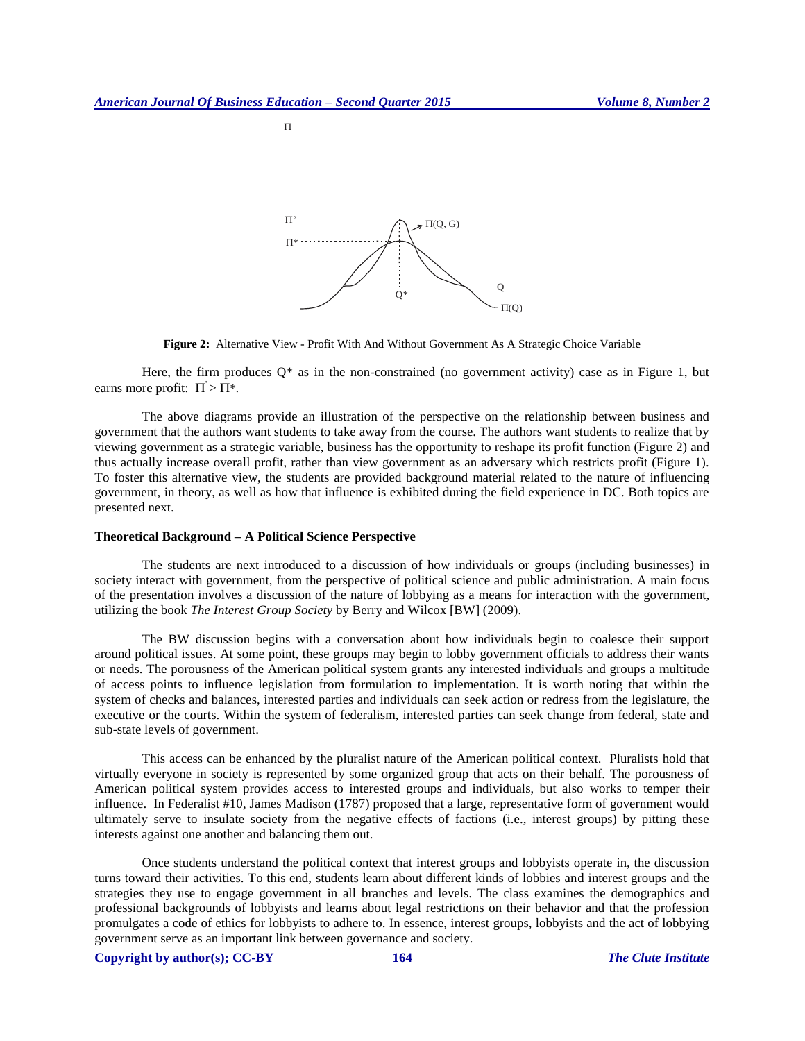

**Figure 2:** Alternative View - Profit With And Without Government As A Strategic Choice Variable

Here, the firm produces  $Q^*$  as in the non-constrained (no government activity) case as in Figure 1, but earns more profit:  $\Pi > \Pi^*$ .

The above diagrams provide an illustration of the perspective on the relationship between business and government that the authors want students to take away from the course. The authors want students to realize that by viewing government as a strategic variable, business has the opportunity to reshape its profit function (Figure 2) and thus actually increase overall profit, rather than view government as an adversary which restricts profit (Figure 1). To foster this alternative view, the students are provided background material related to the nature of influencing government, in theory, as well as how that influence is exhibited during the field experience in DC. Both topics are presented next.

#### **Theoretical Background – A Political Science Perspective**

The students are next introduced to a discussion of how individuals or groups (including businesses) in society interact with government, from the perspective of political science and public administration. A main focus of the presentation involves a discussion of the nature of lobbying as a means for interaction with the government, utilizing the book *The Interest Group Society* by Berry and Wilcox [BW] (2009).

The BW discussion begins with a conversation about how individuals begin to coalesce their support around political issues. At some point, these groups may begin to lobby government officials to address their wants or needs. The porousness of the American political system grants any interested individuals and groups a multitude of access points to influence legislation from formulation to implementation. It is worth noting that within the system of checks and balances, interested parties and individuals can seek action or redress from the legislature, the executive or the courts. Within the system of federalism, interested parties can seek change from federal, state and sub-state levels of government.

This access can be enhanced by the pluralist nature of the American political context. Pluralists hold that virtually everyone in society is represented by some organized group that acts on their behalf. The porousness of American political system provides access to interested groups and individuals, but also works to temper their influence. In Federalist #10, James Madison (1787) proposed that a large, representative form of government would ultimately serve to insulate society from the negative effects of factions (i.e., interest groups) by pitting these interests against one another and balancing them out.

Once students understand the political context that interest groups and lobbyists operate in, the discussion turns toward their activities. To this end, students learn about different kinds of lobbies and interest groups and the strategies they use to engage government in all branches and levels. The class examines the demographics and professional backgrounds of lobbyists and learns about legal restrictions on their behavior and that the profession promulgates a code of ethics for lobbyists to adhere to. In essence, interest groups, lobbyists and the act of lobbying government serve as an important link between governance and society.

**Copyright by author(s); CC-BY 164** *The Clute Institute*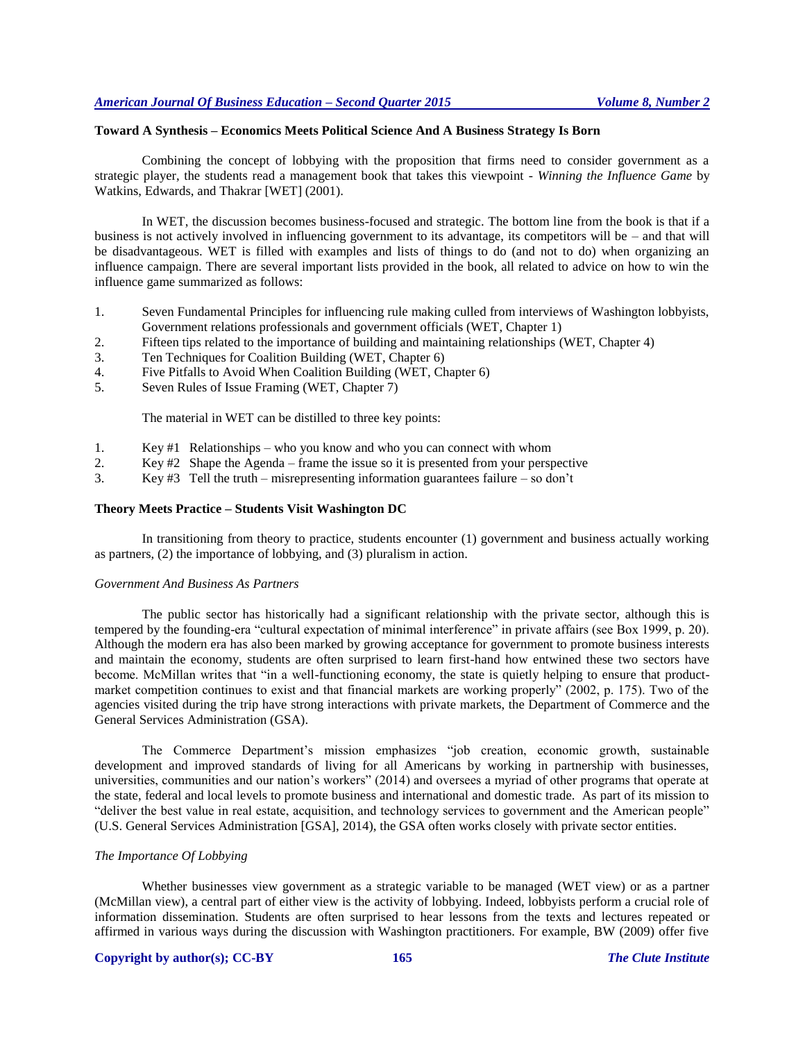#### **Toward A Synthesis – Economics Meets Political Science And A Business Strategy Is Born**

Combining the concept of lobbying with the proposition that firms need to consider government as a strategic player, the students read a management book that takes this viewpoint - *Winning the Influence Game* by Watkins, Edwards, and Thakrar [WET] (2001).

In WET, the discussion becomes business-focused and strategic. The bottom line from the book is that if a business is not actively involved in influencing government to its advantage, its competitors will be – and that will be disadvantageous. WET is filled with examples and lists of things to do (and not to do) when organizing an influence campaign. There are several important lists provided in the book, all related to advice on how to win the influence game summarized as follows:

- 1. Seven Fundamental Principles for influencing rule making culled from interviews of Washington lobbyists, Government relations professionals and government officials (WET, Chapter 1)
- 2. Fifteen tips related to the importance of building and maintaining relationships (WET, Chapter 4)
- 3. Ten Techniques for Coalition Building (WET, Chapter 6)
- 4. Five Pitfalls to Avoid When Coalition Building (WET, Chapter 6)
- 5. Seven Rules of Issue Framing (WET, Chapter 7)

The material in WET can be distilled to three key points:

- 1. Key #1 Relationships who you know and who you can connect with whom
- 2. Key #2 Shape the Agenda frame the issue so it is presented from your perspective
- 3. Key #3 Tell the truth misrepresenting information guarantees failure so don't

#### **Theory Meets Practice – Students Visit Washington DC**

In transitioning from theory to practice, students encounter (1) government and business actually working as partners, (2) the importance of lobbying, and (3) pluralism in action.

#### *Government And Business As Partners*

The public sector has historically had a significant relationship with the private sector, although this is tempered by the founding-era "cultural expectation of minimal interference" in private affairs (see Box 1999, p. 20). Although the modern era has also been marked by growing acceptance for government to promote business interests and maintain the economy, students are often surprised to learn first-hand how entwined these two sectors have become. McMillan writes that "in a well-functioning economy, the state is quietly helping to ensure that productmarket competition continues to exist and that financial markets are working properly" (2002, p. 175). Two of the agencies visited during the trip have strong interactions with private markets, the Department of Commerce and the General Services Administration (GSA).

The Commerce Department's mission emphasizes "job creation, economic growth, sustainable development and improved standards of living for all Americans by working in partnership with businesses, universities, communities and our nation's workers" (2014) and oversees a myriad of other programs that operate at the state, federal and local levels to promote business and international and domestic trade. As part of its mission to "deliver the best value in real estate, acquisition, and technology services to government and the American people" (U.S. General Services Administration [GSA], 2014), the GSA often works closely with private sector entities.

#### *The Importance Of Lobbying*

Whether businesses view government as a strategic variable to be managed (WET view) or as a partner (McMillan view), a central part of either view is the activity of lobbying. Indeed, lobbyists perform a crucial role of information dissemination. Students are often surprised to hear lessons from the texts and lectures repeated or affirmed in various ways during the discussion with Washington practitioners. For example, BW (2009) offer five

#### **Copyright by author(s); CC-BY 165** *The Clute Institute*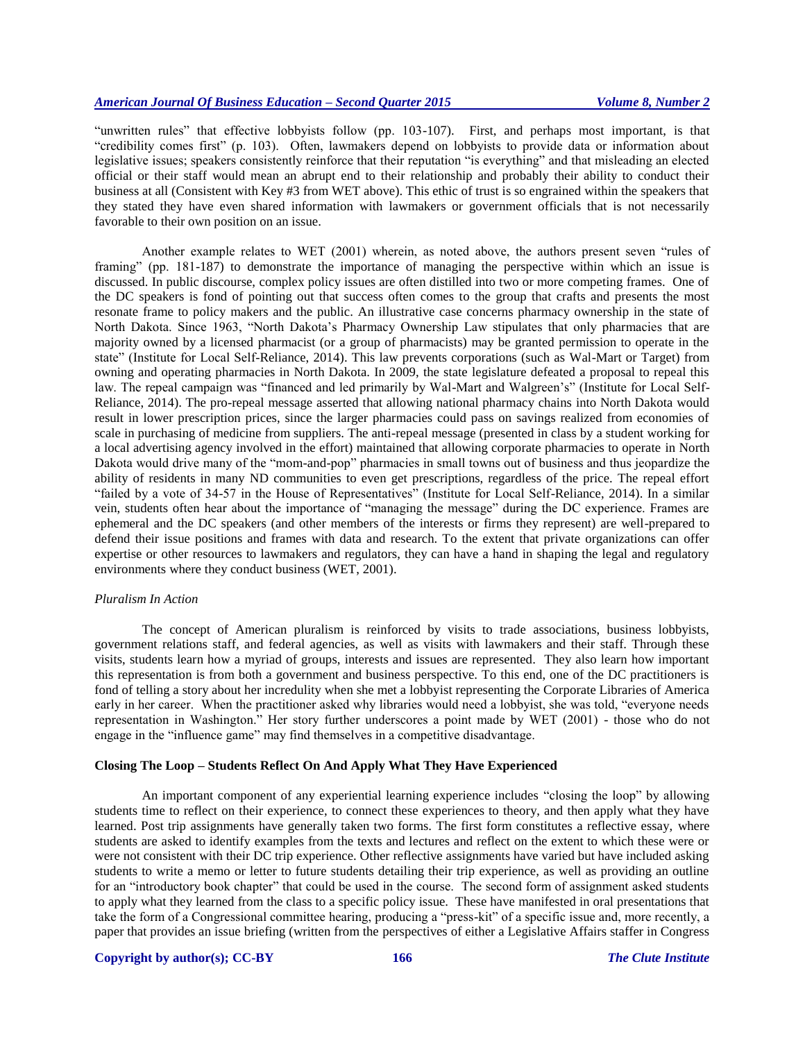"unwritten rules" that effective lobbyists follow (pp. 103-107). First, and perhaps most important, is that "credibility comes first" (p. 103). Often, lawmakers depend on lobbyists to provide data or information about legislative issues; speakers consistently reinforce that their reputation "is everything" and that misleading an elected official or their staff would mean an abrupt end to their relationship and probably their ability to conduct their business at all (Consistent with Key #3 from WET above). This ethic of trust is so engrained within the speakers that they stated they have even shared information with lawmakers or government officials that is not necessarily favorable to their own position on an issue.

Another example relates to WET (2001) wherein, as noted above, the authors present seven "rules of framing" (pp. 181-187) to demonstrate the importance of managing the perspective within which an issue is discussed. In public discourse, complex policy issues are often distilled into two or more competing frames. One of the DC speakers is fond of pointing out that success often comes to the group that crafts and presents the most resonate frame to policy makers and the public. An illustrative case concerns pharmacy ownership in the state of North Dakota. Since 1963, "North Dakota's Pharmacy Ownership Law stipulates that only pharmacies that are majority owned by a licensed pharmacist (or a group of pharmacists) may be granted permission to operate in the state" (Institute for Local Self-Reliance, 2014). This law prevents corporations (such as Wal-Mart or Target) from owning and operating pharmacies in North Dakota. In 2009, the state legislature defeated a proposal to repeal this law. The repeal campaign was "financed and led primarily by Wal-Mart and Walgreen's" (Institute for Local Self-Reliance, 2014). The pro-repeal message asserted that allowing national pharmacy chains into North Dakota would result in lower prescription prices, since the larger pharmacies could pass on savings realized from economies of scale in purchasing of medicine from suppliers. The anti-repeal message (presented in class by a student working for a local advertising agency involved in the effort) maintained that allowing corporate pharmacies to operate in North Dakota would drive many of the "mom-and-pop" pharmacies in small towns out of business and thus jeopardize the ability of residents in many ND communities to even get prescriptions, regardless of the price. The repeal effort "failed by a vote of 34-57 in the House of Representatives" (Institute for Local Self-Reliance, 2014). In a similar vein, students often hear about the importance of "managing the message" during the DC experience. Frames are ephemeral and the DC speakers (and other members of the interests or firms they represent) are well-prepared to defend their issue positions and frames with data and research. To the extent that private organizations can offer expertise or other resources to lawmakers and regulators, they can have a hand in shaping the legal and regulatory environments where they conduct business (WET, 2001).

#### *Pluralism In Action*

The concept of American pluralism is reinforced by visits to trade associations, business lobbyists, government relations staff, and federal agencies, as well as visits with lawmakers and their staff. Through these visits, students learn how a myriad of groups, interests and issues are represented. They also learn how important this representation is from both a government and business perspective. To this end, one of the DC practitioners is fond of telling a story about her incredulity when she met a lobbyist representing the Corporate Libraries of America early in her career. When the practitioner asked why libraries would need a lobbyist, she was told, "everyone needs representation in Washington." Her story further underscores a point made by WET (2001) - those who do not engage in the "influence game" may find themselves in a competitive disadvantage.

#### **Closing The Loop – Students Reflect On And Apply What They Have Experienced**

An important component of any experiential learning experience includes "closing the loop" by allowing students time to reflect on their experience, to connect these experiences to theory, and then apply what they have learned. Post trip assignments have generally taken two forms. The first form constitutes a reflective essay, where students are asked to identify examples from the texts and lectures and reflect on the extent to which these were or were not consistent with their DC trip experience. Other reflective assignments have varied but have included asking students to write a memo or letter to future students detailing their trip experience, as well as providing an outline for an "introductory book chapter" that could be used in the course. The second form of assignment asked students to apply what they learned from the class to a specific policy issue. These have manifested in oral presentations that take the form of a Congressional committee hearing, producing a "press-kit" of a specific issue and, more recently, a paper that provides an issue briefing (written from the perspectives of either a Legislative Affairs staffer in Congress

#### **Copyright by author(s); CC-BY 166** *The Clute Institute*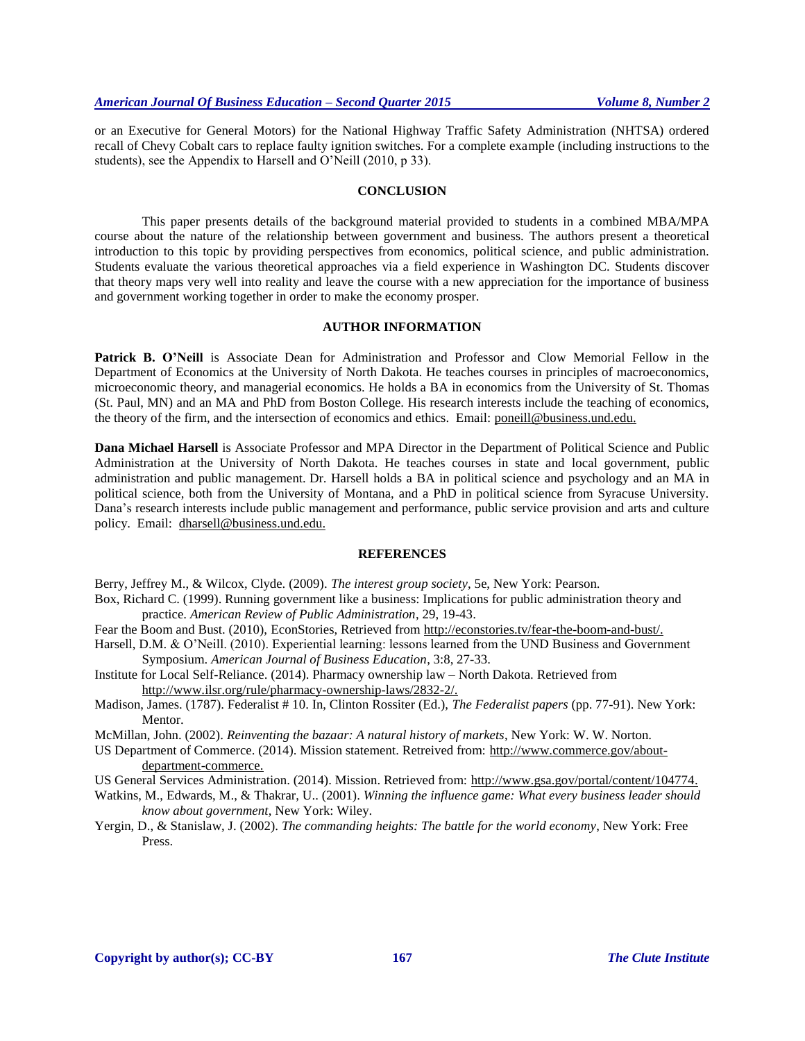or an Executive for General Motors) for the National Highway Traffic Safety Administration (NHTSA) ordered recall of Chevy Cobalt cars to replace faulty ignition switches. For a complete example (including instructions to the students), see the Appendix to Harsell and O'Neill (2010, p 33).

#### **CONCLUSION**

This paper presents details of the background material provided to students in a combined MBA/MPA course about the nature of the relationship between government and business. The authors present a theoretical introduction to this topic by providing perspectives from economics, political science, and public administration. Students evaluate the various theoretical approaches via a field experience in Washington DC. Students discover that theory maps very well into reality and leave the course with a new appreciation for the importance of business and government working together in order to make the economy prosper.

#### **AUTHOR INFORMATION**

**Patrick B. O'Neill** is Associate Dean for Administration and Professor and Clow Memorial Fellow in the Department of Economics at the University of North Dakota. He teaches courses in principles of macroeconomics, microeconomic theory, and managerial economics. He holds a BA in economics from the University of St. Thomas (St. Paul, MN) and an MA and PhD from Boston College. His research interests include the teaching of economics, the theory of the firm, and the intersection of economics and ethics. Email: [poneill@business.und.edu.](mailto:poneill@business.und.edu)

**Dana Michael Harsell** is Associate Professor and MPA Director in the Department of Political Science and Public Administration at the University of North Dakota. He teaches courses in state and local government, public administration and public management. Dr. Harsell holds a BA in political science and psychology and an MA in political science, both from the University of Montana, and a PhD in political science from Syracuse University. Dana's research interests include public management and performance, public service provision and arts and culture policy. Email: [dharsell@business.und.edu.](mailto:dharsell@business.und.edu)

#### **REFERENCES**

Berry, Jeffrey M., & Wilcox, Clyde. (2009). *The interest group society*, 5e, New York: Pearson.

- Box, Richard C. (1999). Running government like a business: Implications for public administration theory and practice. *American Review of Public Administration*, 29, 19-43.
- Fear the Boom and Bust. (2010), EconStories, Retrieved from [http://econstories.tv/fear-the-boom-and-bust/.](http://econstories.tv/fear-the-boom-and-bust/)
- Harsell, D.M. & O'Neill. (2010). Experiential learning: lessons learned from the UND Business and Government Symposium. *American Journal of Business Education*, 3:8, 27-33.
- Institute for Local Self-Reliance. (2014). Pharmacy ownership law North Dakota. Retrieved from [http://www.ilsr.org/rule/pharmacy-ownership-laws/2832-2/.](http://www.ilsr.org/rule/pharmacy-ownership-laws/2832-2/)
- Madison, James. (1787). Federalist # 10. In, Clinton Rossiter (Ed.), *The Federalist papers* (pp. 77-91). New York: Mentor.
- McMillan, John. (2002). *Reinventing the bazaar: A natural history of markets*, New York: W. W. Norton.
- US Department of Commerce. (2014). Mission statement. Retreived from: [http://www.commerce.gov/about](http://www.commerce.gov/about-department-commerce)[department-commerce.](http://www.commerce.gov/about-department-commerce)
- US General Services Administration. (2014). Mission. Retrieved from: [http://www.gsa.gov/portal/content/104774.](http://www.gsa.gov/portal/content/104774)
- Watkins, M., Edwards, M., & Thakrar, U.. (2001). *Winning the influence game: What every business leader should know about government*, New York: Wiley.
- Yergin, D., & Stanislaw, J. (2002). *The commanding heights: The battle for the world economy*, New York: Free Press.